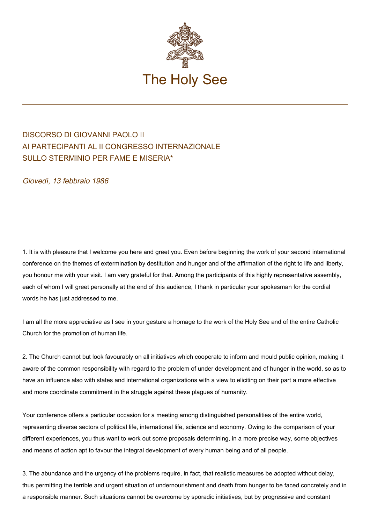

## DISCORSO DI GIOVANNI PAOLO II AI PARTECIPANTI AL II CONGRESSO INTERNAZIONALE SULLO STERMINIO PER FAME E MISERIA\*

Giovedì, 13 febbraio 1986

1. It is with pleasure that I welcome you here and greet you. Even before beginning the work of your second international conference on the themes of extermination by destitution and hunger and of the affirmation of the right to life and liberty, you honour me with your visit. I am very grateful for that. Among the participants of this highly representative assembly, each of whom I will greet personally at the end of this audience, I thank in particular your spokesman for the cordial words he has just addressed to me.

I am all the more appreciative as I see in your gesture a homage to the work of the Holy See and of the entire Catholic Church for the promotion of human life.

2. The Church cannot but look favourably on all initiatives which cooperate to inform and mould public opinion, making it aware of the common responsibility with regard to the problem of under development and of hunger in the world, so as to have an influence also with states and international organizations with a view to eliciting on their part a more effective and more coordinate commitment in the struggle against these plagues of humanity.

Your conference offers a particular occasion for a meeting among distinguished personalities of the entire world, representing diverse sectors of political life, international life, science and economy. Owing to the comparison of your different experiences, you thus want to work out some proposals determining, in a more precise way, some objectives and means of action apt to favour the integral development of every human being and of all people.

3. The abundance and the urgency of the problems require, in fact, that realistic measures be adopted without delay, thus permitting the terrible and urgent situation of undernourishment and death from hunger to be faced concretely and in a responsible manner. Such situations cannot be overcome by sporadic initiatives, but by progressive and constant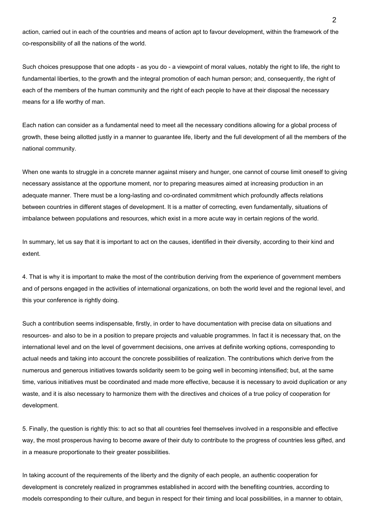action, carried out in each of the countries and means of action apt to favour development, within the framework of the co-responsibility of all the nations of the world.

Such choices presuppose that one adopts - as you do - a viewpoint of moral values, notably the right to life, the right to fundamental liberties, to the growth and the integral promotion of each human person; and, consequently, the right of each of the members of the human community and the right of each people to have at their disposal the necessary means for a life worthy of man.

Each nation can consider as a fundamental need to meet all the necessary conditions allowing for a global process of growth, these being allotted justly in a manner to guarantee life, liberty and the full development of all the members of the national community.

When one wants to struggle in a concrete manner against misery and hunger, one cannot of course limit oneself to giving necessary assistance at the opportune moment, nor to preparing measures aimed at increasing production in an adequate manner. There must be a long-lasting and co-ordinated commitment which profoundly affects relations between countries in different stages of development. It is a matter of correcting, even fundamentally, situations of imbalance between populations and resources, which exist in a more acute way in certain regions of the world.

In summary, let us say that it is important to act on the causes, identified in their diversity, according to their kind and extent.

4. That is why it is important to make the most of the contribution deriving from the experience of government members and of persons engaged in the activities of international organizations, on both the world level and the regional level, and this your conference is rightly doing.

Such a contribution seems indispensable, firstly, in order to have documentation with precise data on situations and resources‑ and also to be in a position to prepare projects and valuable programmes. In fact it is necessary that, on the international level and on the level of government decisions, one arrives at definite working options, corresponding to actual needs and taking into account the concrete possibilities of realization. The contributions which derive from the numerous and generous initiatives towards solidarity seem to be going well in becoming intensified; but, at the same time, various initiatives must be coordinated and made more effective, because it is necessary to avoid duplication or any waste, and it is also necessary to harmonize them with the directives and choices of a true policy of cooperation for development.

5. Finally, the question is rightly this: to act so that all countries feel themselves involved in a responsible and effective way, the most prosperous having to become aware of their duty to contribute to the progress of countries less gifted, and in a measure proportionate to their greater possibilities.

In taking account of the requirements of the liberty and the dignity of each people, an authentic cooperation for development is concretely realized in programmes established in accord with the benefiting countries, according to models corresponding to their culture, and begun in respect for their timing and local possibilities, in a manner to obtain,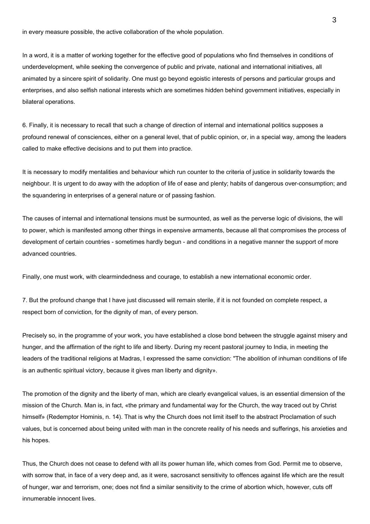in every measure possible, the active collaboration of the whole population.

In a word, it is a matter of working together for the effective good of populations who find themselves in conditions of underdevelopment, while seeking the convergence of public and private, national and international initiatives, all animated by a sincere spirit of solidarity. One must go beyond egoistic interests of persons and particular groups and enterprises, and also selfish national interests which are sometimes hidden behind government initiatives, especially in bilateral operations.

6. Finally, it is necessary to recall that such a change of direction of internal and international politics supposes a profound renewal of consciences, either on a general level, that of public opinion, or, in a special way, among the leaders called to make effective decisions and to put them into practice.

It is necessary to modify mentalities and behaviour which run counter to the criteria of justice in solidarity towards the neighbour. It is urgent to do away with the adoption of life of ease and plenty; habits of dangerous over‑consumption; and the squandering in enterprises of a general nature or of passing fashion.

The causes of internal and international tensions must be surmounted, as well as the perverse logic of divisions, the will to power, which is manifested among other things in expensive armaments, because all that compromises the process of development of certain countries - sometimes hardly begun - and conditions in a negative manner the support of more advanced countries.

Finally, one must work, with clearmindedness and courage, to establish a new international economic order.

7. But the profound change that I have just discussed will remain sterile, if it is not founded on complete respect, a respect born of conviction, for the dignity of man, of every person.

Precisely so, in the programme of your work, you have established a close bond between the struggle against misery and hunger, and the affirmation of the right to life and liberty. During my recent pastoral journey to India, in meeting the leaders of the traditional religions at Madras, I expressed the same conviction: "The abolition of inhuman conditions of life is an authentic spiritual victory, because it gives man liberty and dignity».

The promotion of the dignity and the liberty of man, which are clearly evangelical values, is an essential dimension of the mission of the Church. Man is, in fact, «the primary and fundamental way for the Church, the way traced out by Christ himself» (Redemptor Hominis, n. 14). That is why the Church does not limit itself to the abstract Proclamation of such values, but is concerned about being united with man in the concrete reality of his needs and sufferings, his anxieties and his hopes.

Thus, the Church does not cease to defend with all its power human life, which comes from God. Permit me to observe, with sorrow that, in face of a very deep and, as it were, sacrosanct sensitivity to offences against life which are the result of hunger, war and terrorism, one; does not find a similar sensitivity to the crime of abortion which, however, cuts off innumerable innocent lives.